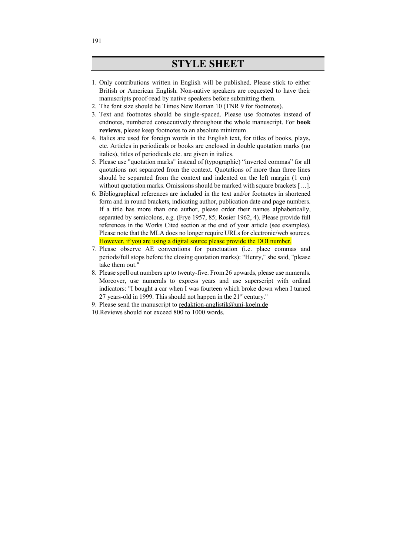## **STYLE SHEET**

- 1. Only contributions written in English will be published. Please stick to either British or American English. Non-native speakers are requested to have their manuscripts proof-read by native speakers before submitting them.
- 2. The font size should be Times New Roman 10 (TNR 9 for footnotes).
- 3. Text and footnotes should be single-spaced. Please use footnotes instead of endnotes, numbered consecutively throughout the whole manuscript. For **book reviews**, please keep footnotes to an absolute minimum.
- 4. Italics are used for foreign words in the English text, for titles of books, plays, etc. Articles in periodicals or books are enclosed in double quotation marks (no italics), titles of periodicals etc. are given in italics.
- 5. Please use "quotation marks" instead of (typographic) "inverted commas" for all quotations not separated from the context. Quotations of more than three lines should be separated from the context and indented on the left margin (1 cm) without quotation marks. Omissions should be marked with square brackets [...].
- 6. Bibliographical references are included in the text and/or footnotes in shortened form and in round brackets, indicating author, publication date and page numbers. If a title has more than one author, please order their names alphabetically, separated by semicolons, e.g. (Frye 1957, 85; Rosier 1962, 4). Please provide full references in the Works Cited section at the end of your article (see examples). Please note that the MLA does no longer require URLs for electronic/web sources. However, if you are using a digital source please provide the DOI number.
- 7. Please observe AE conventions for punctuation (i.e. place commas and periods/full stops before the closing quotation marks): "Henry," she said, "please take them out."
- 8. Please spell out numbers up to twenty-five. From 26 upwards, please use numerals. Moreover, use numerals to express years and use superscript with ordinal indicators: "I bought a car when I was fourteen which broke down when I turned 27 years-old in 1999. This should not happen in the  $21<sup>st</sup>$  century."
- 9. Please send the manuscript to redaktion-anglistik@uni-koeln.de

10.Reviews should not exceed 800 to 1000 words.